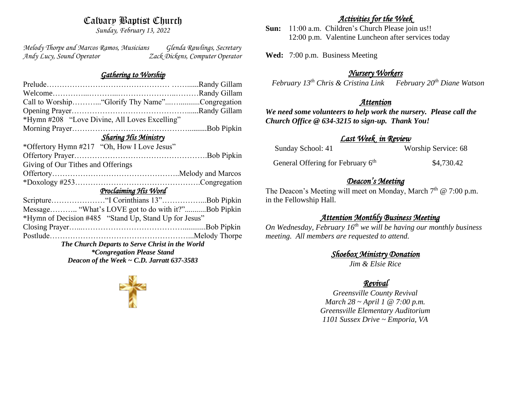# Calvary Baptist Church

*Sunday, February 13, 2022*

*Melody Thorpe and Marcos Ramos, Musicians Glenda Rawlings, Secretary Andy Lucy, Sound Operator Zack Dickens, Computer Operator* 

#### *Gathering to Worship*

| Call to Worship "Glorify Thy Name"Congregation        |  |  |
|-------------------------------------------------------|--|--|
|                                                       |  |  |
| *Hymn #208 "Love Divine, All Loves Excelling"         |  |  |
|                                                       |  |  |
| <b>Sharing His Ministry</b>                           |  |  |
| *Offertory Hymn #217 "Oh, How I Love Jesus"           |  |  |
|                                                       |  |  |
| Giving of Our Tithes and Offerings                    |  |  |
|                                                       |  |  |
|                                                       |  |  |
| Proclaiming His Word                                  |  |  |
|                                                       |  |  |
| Message "What's LOVE got to do with it?"Bob Pipkin    |  |  |
| *Hymn of Decision #485 "Stand Up, Stand Up for Jesus" |  |  |
|                                                       |  |  |
|                                                       |  |  |
| The Church Departs to Serve Christ in the World       |  |  |
| <i>*Congregation Please Stand</i>                     |  |  |
| Deacon of the Week $\sim$ C.D. Jarratt 637-3583       |  |  |
|                                                       |  |  |

### *Activities for the Week*

**Sun:** 11:00 a.m. Children's Church Please join us!! 12:00 p.m. Valentine Luncheon after services today

**Wed:** 7:00 p.m. Business Meeting

## *Nursery Workers*

 *February 13th Chris & Cristina Link February 20th Diane Watson* 

### *Attention*

*We need some volunteers to help work the nursery. Please call the Church Office @ 634-3215 to sign-up. Thank You!*

### *Last Week in Review*

| Sunday School: 41                             | Worship Service: 68 |
|-----------------------------------------------|---------------------|
| General Offering for February 6 <sup>th</sup> | \$4,730.42          |

# *Deacon's Meeting*

The Deacon's Meeting will meet on Monday, March 7<sup>th</sup> @ 7:00 p.m. in the Fellowship Hall.

## *Attention Monthly Business Meeting*

*On Wednesday, February 16th we will be having our monthly business meeting. All members are requested to attend.* 

*Shoebox Ministry Donation* 

*Jim & Elsie Rice*

# *Revival*

*Greensville County Revival March 28 ~ April 1 @ 7:00 p.m. Greensville Elementary Auditorium 1101 Sussex Drive ~ Emporia, VA*